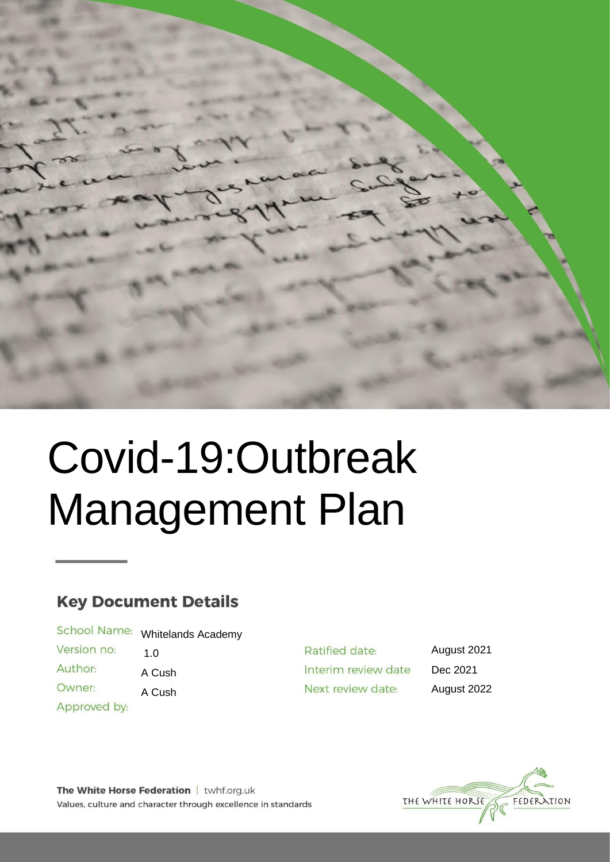

# Covid-19:Outbreak Management Plan

# **Key Document Details**

School Name: Whitelands Academy

1.0

Version no:

Author: A Cush

Owner:

Approved by:

A Cush

Ratified date: Interim review date Next review date:

August 2021 Dec 2021 August 2022

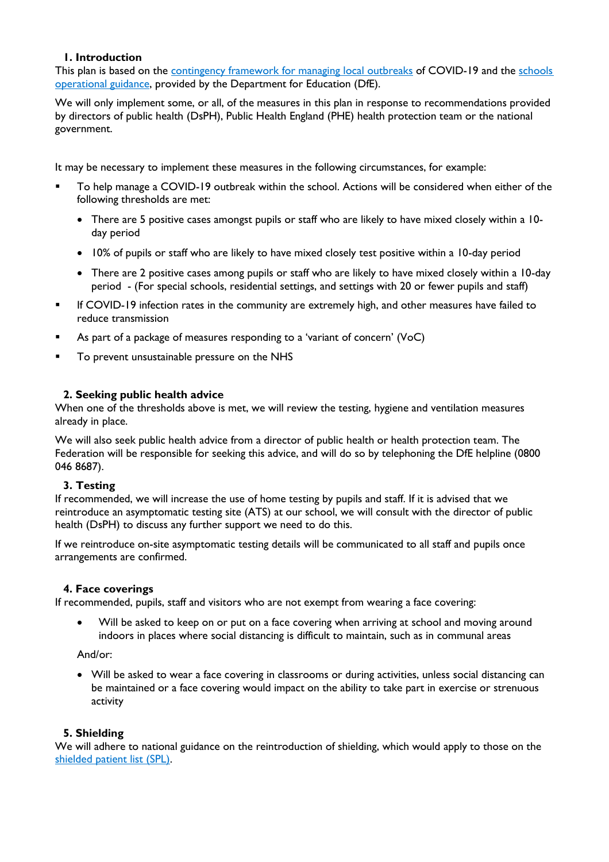# **1. Introduction**

This plan is based on the [contingency framework for managing local outbreaks](https://www.gov.uk/government/publications/coronavirus-covid-19-local-restrictions-in-education-and-childcare-settings) of COVID-19 and the schools [operational guidance,](https://www.gov.uk/government/publications/actions-for-schools-during-the-coronavirus-outbreak) provided by the Department for Education (DfE).

We will only implement some, or all, of the measures in this plan in response to recommendations provided by directors of public health (DsPH), Public Health England (PHE) health protection team or the national government.

It may be necessary to implement these measures in the following circumstances, for example:

- To help manage a COVID-19 outbreak within the school. Actions will be considered when either of the following thresholds are met:
	- There are 5 positive cases amongst pupils or staff who are likely to have mixed closely within a 10 day period
	- 10% of pupils or staff who are likely to have mixed closely test positive within a 10-day period
	- There are 2 positive cases among pupils or staff who are likely to have mixed closely within a 10-day period - (For special schools, residential settings, and settings with 20 or fewer pupils and staff)
- If COVID-19 infection rates in the community are extremely high, and other measures have failed to reduce transmission
- As part of a package of measures responding to a 'variant of concern' (VoC)
- To prevent unsustainable pressure on the NHS

## **2. Seeking public health advice**

When one of the thresholds above is met, we will review the testing, hygiene and ventilation measures already in place.

We will also seek public health advice from a director of public health or health protection team. The Federation will be responsible for seeking this advice, and will do so by telephoning the DfE helpline (0800 046 8687).

#### **3. Testing**

If recommended, we will increase the use of home testing by pupils and staff. If it is advised that we reintroduce an asymptomatic testing site (ATS) at our school, we will consult with the director of public health (DsPH) to discuss any further support we need to do this.

If we reintroduce on-site asymptomatic testing details will be communicated to all staff and pupils once arrangements are confirmed.

#### **4. Face coverings**

If recommended, pupils, staff and visitors who are not exempt from wearing a face covering:

• Will be asked to keep on or put on a face covering when arriving at school and moving around indoors in places where social distancing is difficult to maintain, such as in communal areas

#### And/or:

• Will be asked to wear a face covering in classrooms or during activities, unless social distancing can be maintained or a face covering would impact on the ability to take part in exercise or strenuous activity

# **5. Shielding**

We will adhere to national guidance on the reintroduction of shielding, which would apply to those on the [shielded patient list \(SPL\).](https://digital.nhs.uk/coronavirus/shielded-patient-list)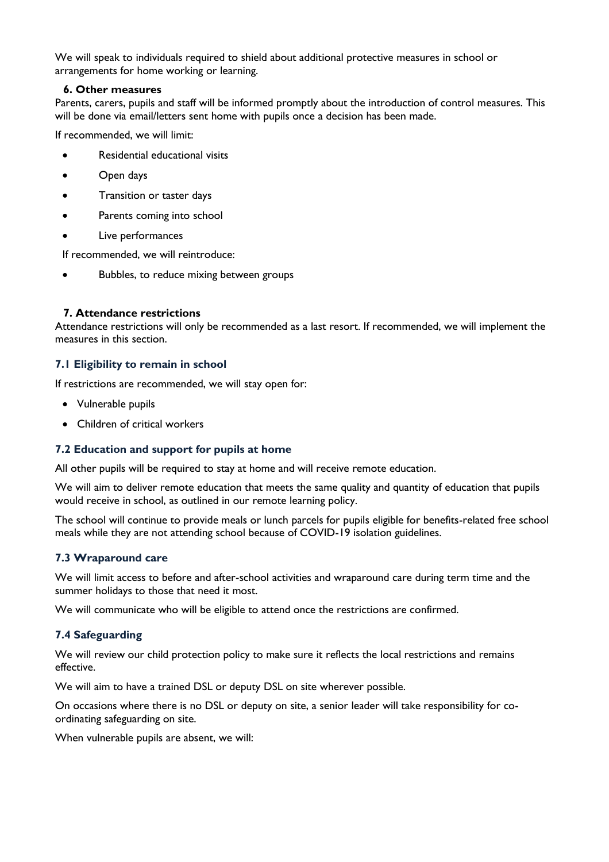We will speak to individuals required to shield about additional protective measures in school or arrangements for home working or learning.

#### **6. Other measures**

Parents, carers, pupils and staff will be informed promptly about the introduction of control measures. This will be done via email/letters sent home with pupils once a decision has been made.

If recommended, we will limit:

- Residential educational visits
- Open days
- Transition or taster days
- Parents coming into school
- Live performances

If recommended, we will reintroduce:

• Bubbles, to reduce mixing between groups

## **7. Attendance restrictions**

Attendance restrictions will only be recommended as a last resort. If recommended, we will implement the measures in this section.

## **7.1 Eligibility to remain in school**

If restrictions are recommended, we will stay open for:

- Vulnerable pupils
- Children of critical workers

# **7.2 Education and support for pupils at home**

All other pupils will be required to stay at home and will receive remote education.

We will aim to deliver remote education that meets the same quality and quantity of education that pupils would receive in school, as outlined in our remote learning policy.

The school will continue to provide meals or lunch parcels for pupils eligible for benefits-related free school meals while they are not attending school because of COVID-19 isolation guidelines.

# **7.3 Wraparound care**

We will limit access to before and after-school activities and wraparound care during term time and the summer holidays to those that need it most.

We will communicate who will be eligible to attend once the restrictions are confirmed.

# **7.4 Safeguarding**

We will review our child protection policy to make sure it reflects the local restrictions and remains effective.

We will aim to have a trained DSL or deputy DSL on site wherever possible.

On occasions where there is no DSL or deputy on site, a senior leader will take responsibility for coordinating safeguarding on site.

When vulnerable pupils are absent, we will: